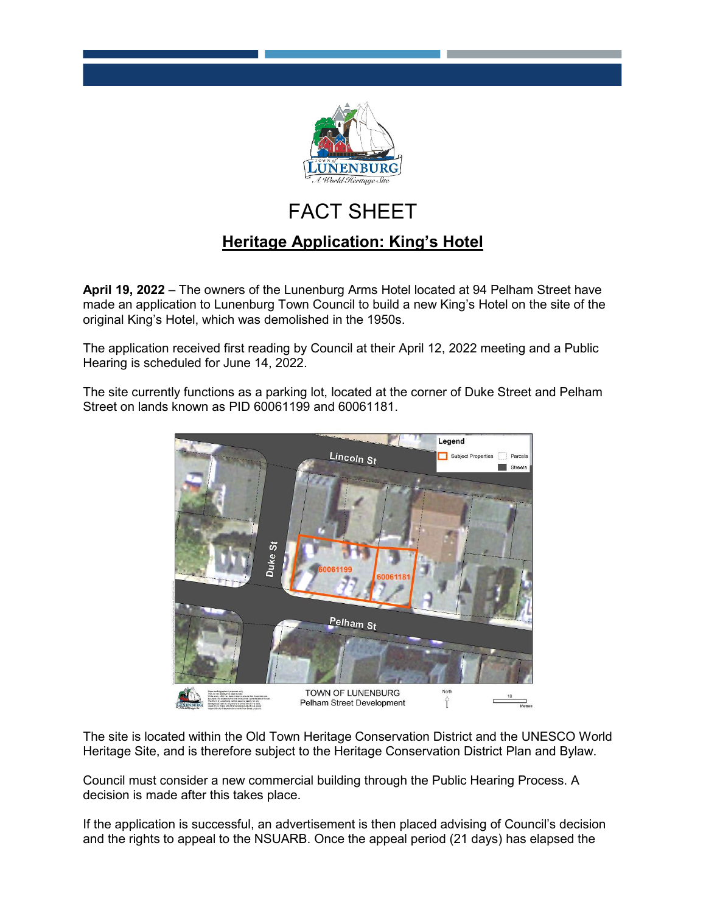

## FACT SHEET

## **Heritage Application: King's Hotel**

**April 19, 2022** – The owners of the Lunenburg Arms Hotel located at 94 Pelham Street have made an application to Lunenburg Town Council to build a new King's Hotel on the site of the original King's Hotel, which was demolished in the 1950s.

The application received first reading by Council at their April 12, 2022 meeting and a Public Hearing is scheduled for June 14, 2022.

The site currently functions as a parking lot, located at the corner of Duke Street and Pelham Street on lands known as PID 60061199 and 60061181.



The site is located within the Old Town Heritage Conservation District and the UNESCO World Heritage Site, and is therefore subject to the Heritage Conservation District Plan and Bylaw.

Council must consider a new commercial building through the Public Hearing Process. A decision is made after this takes place.

If the application is successful, an advertisement is then placed advising of Council's decision and the rights to appeal to the NSUARB. Once the appeal period (21 days) has elapsed the